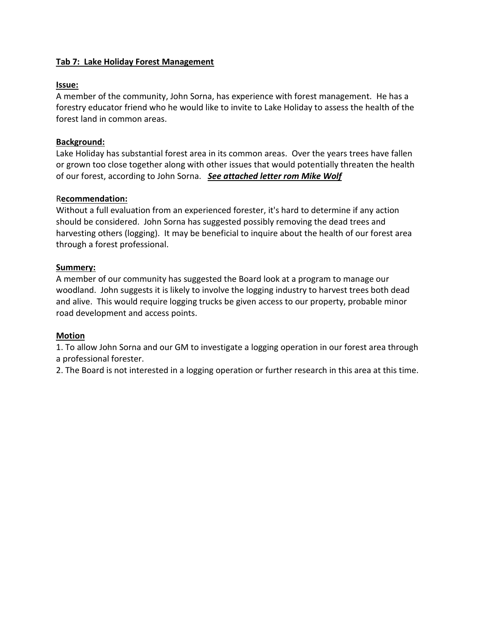# **Tab 7: Lake Holiday Forest Management**

## **Issue:**

A member of the community, John Sorna, has experience with forest management. He has a forestry educator friend who he would like to invite to Lake Holiday to assess the health of the forest land in common areas.

# **Background:**

Lake Holiday has substantial forest area in its common areas. Over the years trees have fallen or grown too close together along with other issues that would potentially threaten the health of our forest, according to John Sorna. *See attached letter rom Mike Wolf*

### R**ecommendation:**

Without a full evaluation from an experienced forester, it's hard to determine if any action should be considered. John Sorna has suggested possibly removing the dead trees and harvesting others (logging). It may be beneficial to inquire about the health of our forest area through a forest professional.

# **Summery:**

A member of our community has suggested the Board look at a program to manage our woodland. John suggests it is likely to involve the logging industry to harvest trees both dead and alive. This would require logging trucks be given access to our property, probable minor road development and access points.

### **Motion**

1. To allow John Sorna and our GM to investigate a logging operation in our forest area through a professional forester.

2. The Board is not interested in a logging operation or further research in this area at this time.